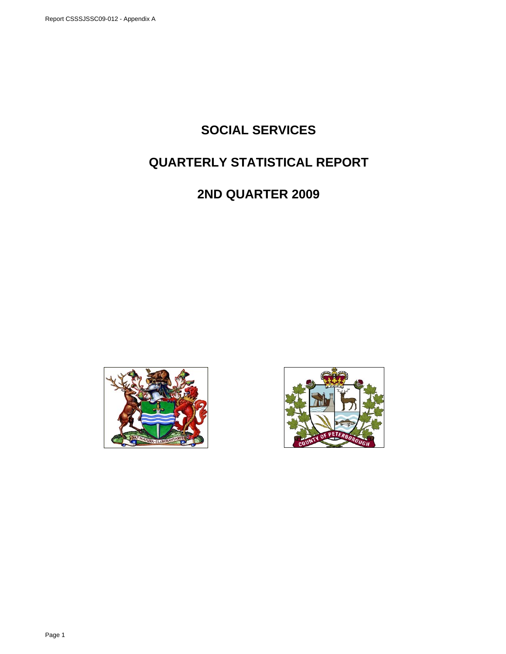# **SOCIAL SERVICES**

# **QUARTERLY STATISTICAL REPORT**

# **2ND QUARTER 2009**



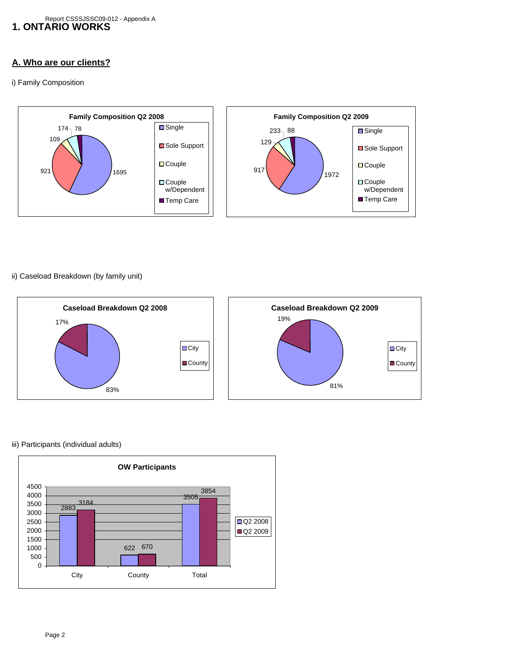### **A. Who are our clients?**

i) Family Composition



ii) Caseload Breakdown (by family unit)



### iii) Participants (individual adults)

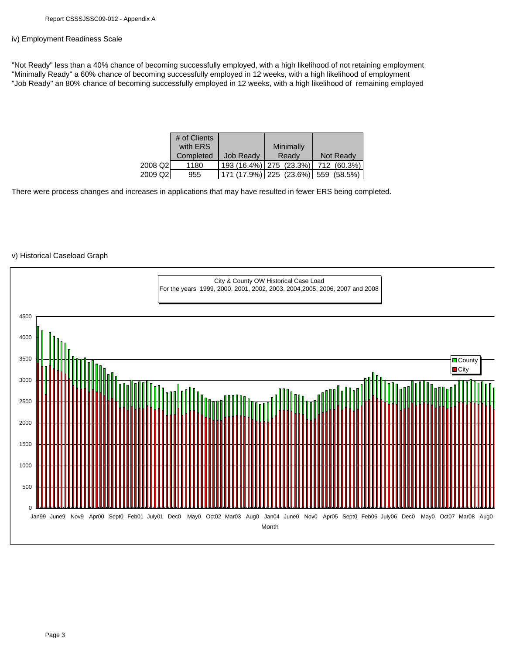#### iv) Employment Readiness Scale

"Not Ready" less than a 40% chance of becoming successfully employed, with a high likelihood of not retaining employment "Minimally Ready" a 60% chance of becoming successfully employed in 12 weeks, with a high likelihood of employment "Job Ready" an 80% chance of becoming successfully employed in 12 weeks, with a high likelihood of remaining employed

|          | # of Clients |                  |                                         |                                         |
|----------|--------------|------------------|-----------------------------------------|-----------------------------------------|
|          | with ERS     |                  | Minimally                               |                                         |
|          | Completed    | <b>Job Ready</b> | Ready                                   | Not Ready                               |
| 2008 Q2l | 1180         |                  |                                         | 193 (16.4%)   275 (23.3%)   712 (60.3%) |
| 2009 Q2l | 955          |                  | 171 (17.9%)   225 (23.6%)   559 (58.5%) |                                         |

There were process changes and increases in applications that may have resulted in fewer ERS being completed.

### v) Historical Caseload Graph

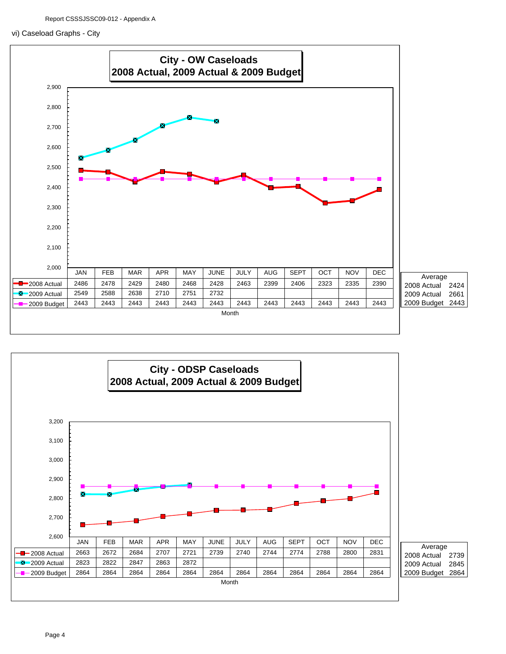#### vi) Caseload Graphs - City



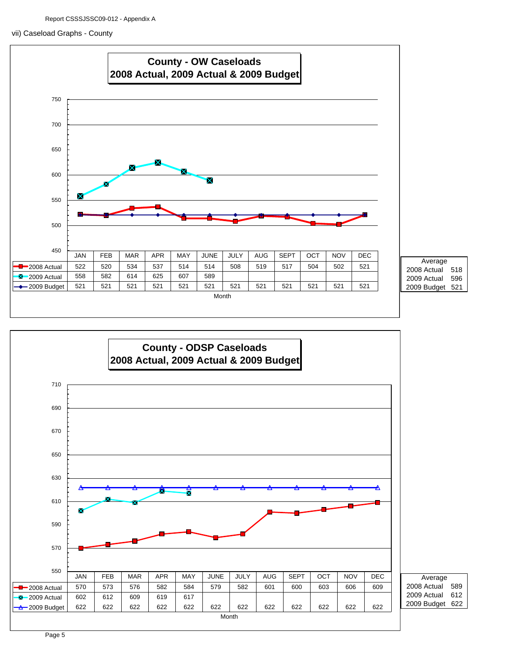### vii) Caseload Graphs - County





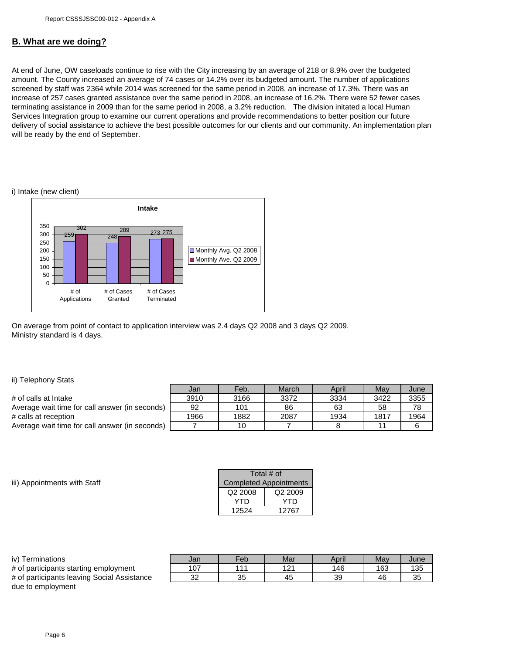### **B. What are we doing?**

At end of June, OW caseloads continue to rise with the City increasing by an average of 218 or 8.9% over the budgeted amount. The County increased an average of 74 cases or 14.2% over its budgeted amount. The number of applications screened by staff was 2364 while 2014 was screened for the same period in 2008, an increase of 17.3%. There was an increase of 257 cases granted assistance over the same period in 2008, an increase of 16.2%. There were 52 fewer cases terminating assistance in 2009 than for the same period in 2008, a 3.2% reduction. The division initated a local Human Services Integration group to examine our current operations and provide recommendations to better position our future delivery of social assistance to achieve the best possible outcomes for our clients and our community. An implementation plan will be ready by the end of September.

#### i) Intake (new client)



On average from point of contact to application interview was 2.4 days Q2 2008 and 3 days Q2 2009. Ministry standard is 4 days.

#### ii) Telephony Stats

|                                                | Jan  | Feb. | March | April | May  | June |
|------------------------------------------------|------|------|-------|-------|------|------|
| # of calls at Intake                           | 3910 | 3166 | 3372  | 3334  | 3422 | 3355 |
| Average wait time for call answer (in seconds) | 92   | 101  | 86    | 63    | 58   | 78   |
| # calls at reception                           | 1966 | 1882 | 2087  | 1934  | 1817 | 1964 |
| Average wait time for call answer (in seconds) |      | 10   |       |       |      |      |

iii) Appointments with Staff

| Total # of                    |                     |  |  |  |
|-------------------------------|---------------------|--|--|--|
| <b>Completed Appointments</b> |                     |  |  |  |
| Q2 2008                       | Q <sub>2</sub> 2009 |  |  |  |
| YTD                           | YTD                 |  |  |  |
| 12524                         | 12767               |  |  |  |

| iv) Terminations                            | Jan | Feb | Mar | April | May | June |
|---------------------------------------------|-----|-----|-----|-------|-----|------|
| # of participants starting employment       | 107 | 444 | 121 | 146   | 163 | 135  |
| # of participants leaving Social Assistance | 32  | 35  | 45  | 39    | 46  | 35   |
| due to employment                           |     |     |     |       |     |      |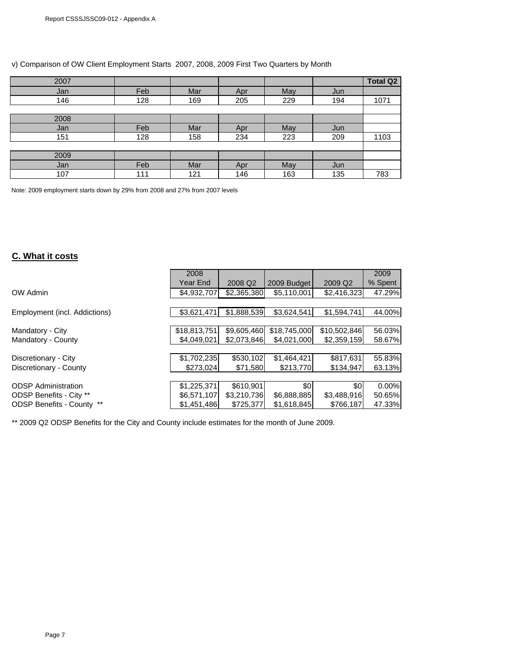|  | v) Comparison of OW Client Employment Starts 2007, 2008, 2009 First Two Quarters by Month |
|--|-------------------------------------------------------------------------------------------|
|--|-------------------------------------------------------------------------------------------|

| 2007 |     |     |     |     |     | <b>Total Q2</b> |
|------|-----|-----|-----|-----|-----|-----------------|
| Jan  | Feb | Mar | Apr | May | Jun |                 |
| 146  | 128 | 169 | 205 | 229 | 194 | 1071            |
|      |     |     |     |     |     |                 |
| 2008 |     |     |     |     |     |                 |
| Jan  | Feb | Mar | Apr | May | Jun |                 |
| 151  | 128 | 158 | 234 | 223 | 209 | 1103            |
|      |     |     |     |     |     |                 |
| 2009 |     |     |     |     |     |                 |
| Jan  | Feb | Mar | Apr | May | Jun |                 |
| 107  | 111 | 121 | 146 | 163 | 135 | 783             |

Note: 2009 employment starts down by 29% from 2008 and 27% from 2007 levels

## **C. What it costs**

|                                  | 2008         |             |              |              | 2009    |
|----------------------------------|--------------|-------------|--------------|--------------|---------|
|                                  | Year End     | 2008 Q2     | 2009 Budget  | 2009 Q2      | % Spent |
| OW Admin                         | \$4,932,707  | \$2,365,380 | \$5,110,001  | \$2,416,323  | 47.29%  |
|                                  |              |             |              |              |         |
| Employment (incl. Addictions)    | \$3,621,471  | \$1.888.539 | \$3.624.541  | \$1.594.741  | 44.00%  |
|                                  |              |             |              |              |         |
| Mandatory - City                 | \$18,813,751 | \$9,605,460 | \$18,745,000 | \$10,502,846 | 56.03%  |
| Mandatory - County               | \$4,049,021  | \$2.073.846 | \$4,021,000  | \$2,359,159  | 58.67%  |
|                                  |              |             |              |              |         |
| Discretionary - City             | \$1,702,235  | \$530,102   | \$1,464,421  | \$817,631    | 55.83%  |
| Discretionary - County           | \$273.024    | \$71,580    | \$213,770    | \$134,947    | 63.13%  |
|                                  |              |             |              |              |         |
| <b>ODSP Administration</b>       | \$1,225,371  | \$610,901   | \$0          | \$0          | 0.00%   |
| ODSP Benefits - City **          | \$6,571,107  | \$3,210,736 | \$6,888,885  | \$3,488,916  | 50.65%  |
| <b>ODSP Benefits - County **</b> | \$1,451,486  | \$725,377   | \$1,618,845  | \$766,187    | 47.33%  |

\*\* 2009 Q2 ODSP Benefits for the City and County include estimates for the month of June 2009.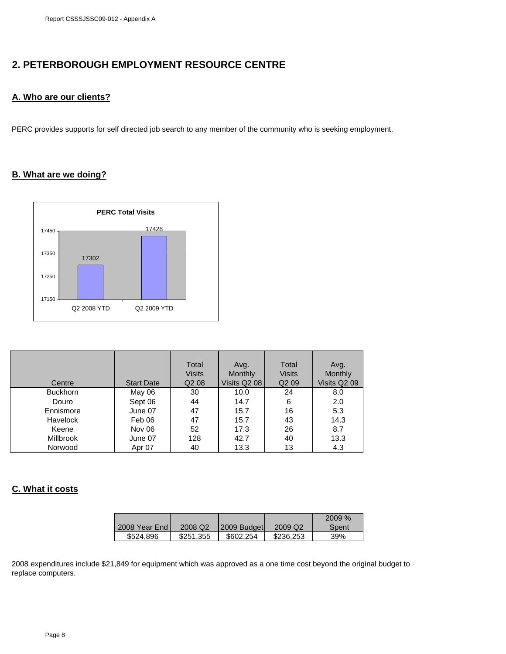# **2. PETERBOROUGH EMPLOYMENT RESOURCE CENTRE**

## **A. Who are our clients?**

PERC provides supports for self directed job search to any member of the community who is seeking employment.

### **B. What are we doing?**



|                  |                   | Total<br><b>Visits</b>        | Avg.<br><b>Monthly</b> | Total<br><b>Visits</b> | Avg.<br>Monthly |
|------------------|-------------------|-------------------------------|------------------------|------------------------|-----------------|
| Centre           | <b>Start Date</b> | Q <sub>2</sub> 0 <sub>8</sub> | Visits Q2 08           | Q <sub>2</sub> 09      | Visits Q2 09    |
| <b>Buckhorn</b>  | May 06            | 30                            | 10.0                   | 24                     | 8.0             |
| Douro            | Sept 06           | 44                            | 14.7                   | 6                      | 2.0             |
| Ennismore        | June 07           | 47                            | 15.7                   | 16                     | 5.3             |
| Havelock         | Feb 06            | 47                            | 15.7                   | 43                     | 14.3            |
| Keene            | Nov 06            | 52                            | 17.3                   | 26                     | 8.7             |
| <b>Millbrook</b> | June 07           | 128                           | 42.7                   | 40                     | 13.3            |
| Norwood          | Apr 07            | 40                            | 13.3                   | 13                     | 4.3             |

### **C. What it costs**

|               |                     |             |           | 2009% |
|---------------|---------------------|-------------|-----------|-------|
| 2008 Year End | 2008 Q <sub>2</sub> | 2009 Budget | 2009 Q2   | Spent |
| \$524,896     | \$251,355           | \$602,254   | \$236,253 | 39%   |

2008 expenditures include \$21,849 for equipment which was approved as a one time cost beyond the original budget to replace computers.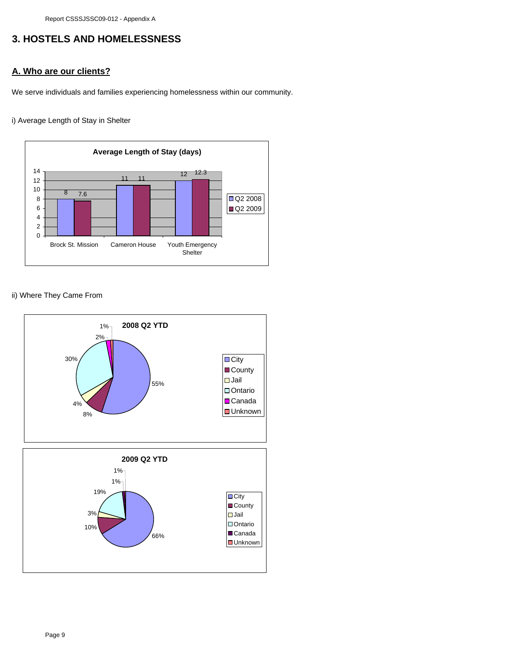Report CSSSJSSC09-012 - Appendix A

# **3. HOSTELS AND HOMELESSNESS**

## **A. Who are our clients?**

We serve individuals and families experiencing homelessness within our community.

i) Average Length of Stay in Shelter



### ii) Where They Came From

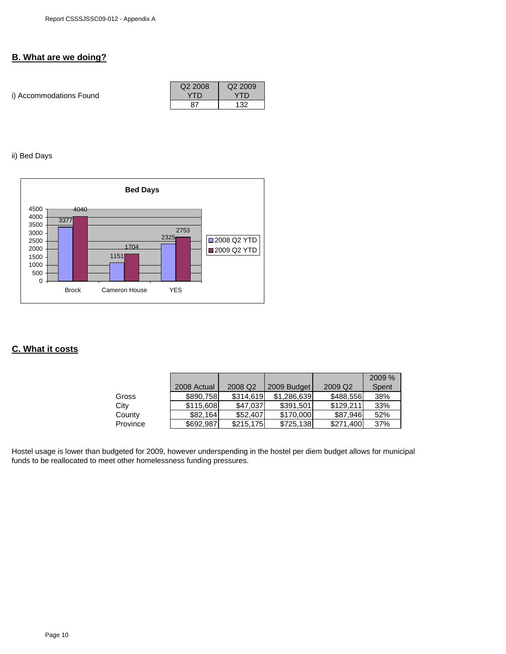## **B. What are we doing?**

| i) Accommodations Found | Q <sub>2</sub> 2008<br>YTN | Q <sub>2</sub> 2009<br>YTD |
|-------------------------|----------------------------|----------------------------|
|                         |                            | 132                        |

### ii) Bed Days



### **C. What it costs**

|          |             |                     |             |                     | 2009 % |
|----------|-------------|---------------------|-------------|---------------------|--------|
|          | 2008 Actual | 2008 Q <sub>2</sub> | 2009 Budget | 2009 Q <sub>2</sub> | Spent  |
| Gross    | \$890,758   | \$314.619           | \$1,286,639 | \$488,556           | 38%    |
| City     | \$115,608   | \$47,037            | \$391,501   | \$129.211           | 33%    |
| County   | \$82.164    | \$52,407            | \$170,000   | \$87.946            | 52%    |
| Province | \$692.987   | \$215,175           | \$725,138   | \$271.400           | 37%    |

Hostel usage is lower than budgeted for 2009, however underspending in the hostel per diem budget allows for municipal funds to be reallocated to meet other homelessness funding pressures.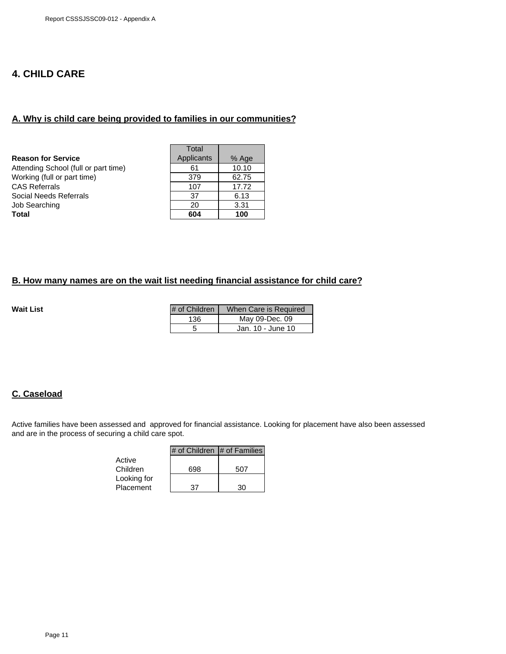# **4. CHILD CARE**

### **A. Why is child care being provided to families in our communities?**

|                                      | Total      |       |
|--------------------------------------|------------|-------|
| <b>Reason for Service</b>            | Applicants | % Age |
| Attending School (full or part time) | 61         | 10.10 |
| Working (full or part time)          | 379        | 62.75 |
| CAS Referrals                        | 107        | 17.72 |
| Social Needs Referrals               | 37         | 6.13  |
| Job Searching                        | 20         | 3.31  |
| Total                                | 604        | 100   |

### **B. How many names are on the wait list needing financial assistance for child care?**

**Wait List** 

| # of Children | When Care is Required |
|---------------|-----------------------|
| 136           | May 09-Dec. 09        |
| 5             | Jan. 10 - June 10     |

### **C. Caseload**

Active families have been assessed and approved for financial assistance. Looking for placement have also been assessed and are in the process of securing a child care spot.

|             | # of Children $ #$ of Families |     |
|-------------|--------------------------------|-----|
| Active      |                                |     |
| Children    | 698                            | 507 |
| Looking for |                                |     |
| Placement   | 37                             | חצ  |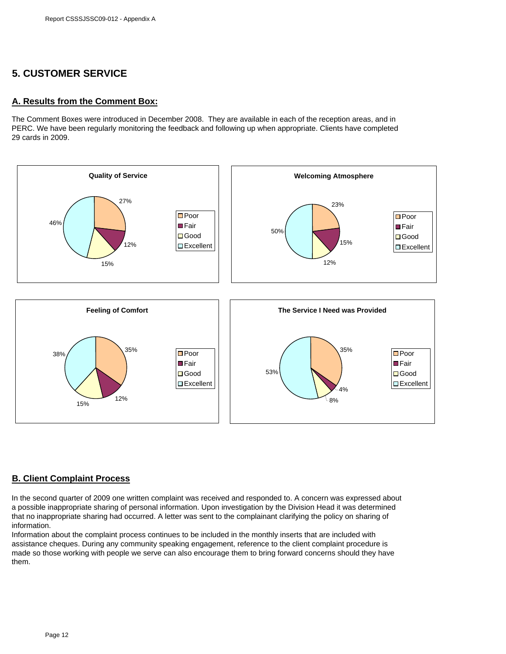# **5. CUSTOMER SERVICE**

### **A. Results from the Comment Box:**

The Comment Boxes were introduced in December 2008. They are available in each of the reception areas, and in PERC. We have been regularly monitoring the feedback and following up when appropriate. Clients have completed 29 cards in 2009.



### **B. Client Complaint Process**

In the second quarter of 2009 one written complaint was received and responded to. A concern was expressed about a possible inappropriate sharing of personal information. Upon investigation by the Division Head it was determined that no inappropriate sharing had occurred. A letter was sent to the complainant clarifying the policy on sharing of information.

Information about the complaint process continues to be included in the monthly inserts that are included with assistance cheques. During any community speaking engagement, reference to the client complaint procedure is made so those working with people we serve can also encourage them to bring forward concerns should they have them.